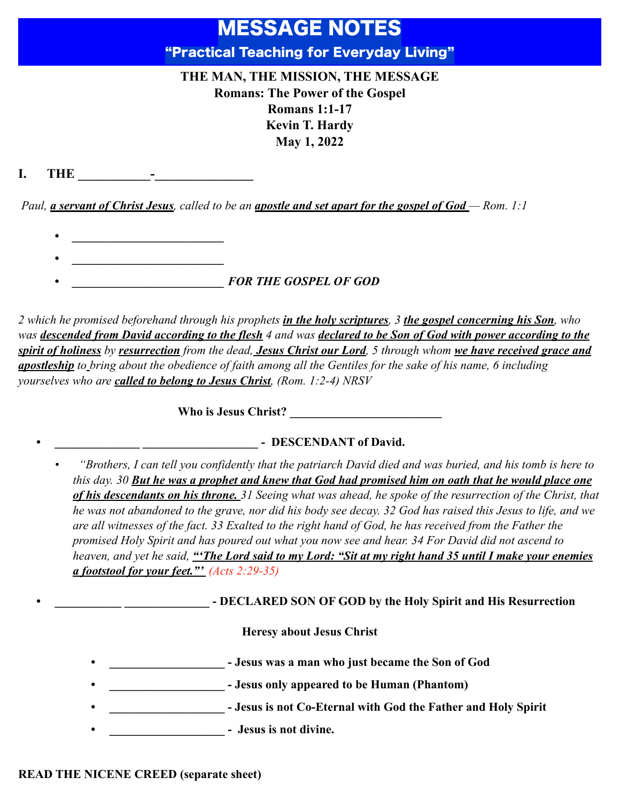# MESSAGE NOTES "Practical Teaching for Everyday Living"

## **THE MAN, THE MISSION, THE MESSAGE Romans: The Power of the Gospel Romans 1:1-17 Kevin T. Hardy May 1, 2022**

**I. THE \_\_\_\_\_\_\_\_\_\_\_-\_\_\_\_\_\_\_\_\_\_\_\_\_\_\_**

*Paul, a servant of Christ Jesus, called to be an apostle and set apart for the gospel of God — Rom. 1:1* 

- *• \_\_\_\_\_\_\_\_\_\_\_\_\_\_\_\_\_\_\_\_\_\_\_\_\_*
- *• \_\_\_\_\_\_\_\_\_\_\_\_\_\_\_\_\_\_\_\_\_\_\_\_\_ FOR THE GOSPEL OF GOD*

*2 which he promised beforehand through his prophets in the holy scriptures, 3 the gospel concerning his Son, who was descended from David according to the flesh 4 and was declared to be Son of God with power according to the spirit of holiness by resurrection from the dead, Jesus Christ our Lord, 5 through whom we have received grace and apostleship to bring about the obedience of faith among all the Gentiles for the sake of his name, 6 including yourselves who are called to belong to Jesus Christ, (Rom. 1:2-4) NRSV*

Who is Jesus Christ?

### **• \_\_\_\_\_\_\_\_\_\_\_\_\_\_ \_\_\_\_\_\_\_\_\_\_\_\_\_\_\_\_\_\_\_ - DESCENDANT of David.**

*• "Brothers, I can tell you confidently that the patriarch David died and was buried, and his tomb is here to this day. 30 But he was a prophet and knew that God had promised him on oath that he would place one of his descendants on his throne. 31 Seeing what was ahead, he spoke of the resurrection of the Christ, that he was not abandoned to the grave, nor did his body see decay. 32 God has raised this Jesus to life, and we are all witnesses of the fact. 33 Exalted to the right hand of God, he has received from the Father the promised Holy Spirit and has poured out what you now see and hear. 34 For David did not ascend to heaven, and yet he said, "'The Lord said to my Lord: "Sit at my right hand 35 until I make your enemies a footstool for your feet."' (Acts 2:29-35)*

**• • DECLARED SON OF GOD by the Holy Spirit and His Resurrection** 

#### **Heresy about Jesus Christ**

- **• \_\_\_\_\_\_\_\_\_\_\_\_\_\_\_\_\_\_\_ Jesus was a man who just became the Son of God**
- **• \_\_\_\_\_\_\_\_\_\_\_\_\_\_\_\_\_\_\_ Jesus only appeared to be Human (Phantom)**
- **•** *Physisis is not Co-Eternal with God the Father and Holy Spirit*
- **•** *•* **<b>Jesus is not divine.**

#### **READ THE NICENE CREED (separate sheet)**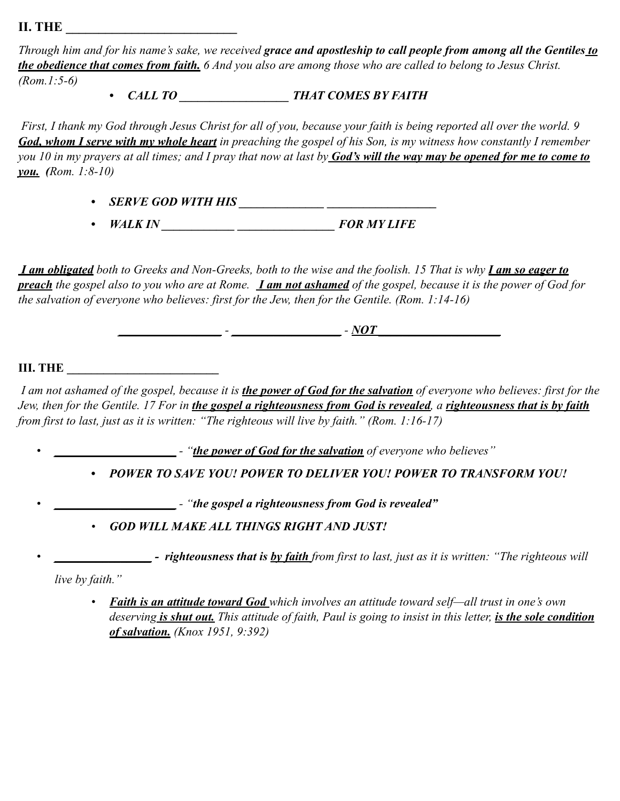**II. THE** 

*Through him and for his name's sake, we received grace and apostleship to call people from among all the Gentiles to the obedience that comes from faith. 6 And you also are among those who are called to belong to Jesus Christ. (Rom.1:5-6)*

*• CALL TO \_\_\_\_\_\_\_\_\_\_\_\_\_\_\_\_\_\_ THAT COMES BY FAITH*

 *First, I thank my God through Jesus Christ for all of you, because your faith is being reported all over the world. 9 God, whom I serve with my whole heart in preaching the gospel of his Son, is my witness how constantly I remember you 10 in my prayers at all times; and I pray that now at last by God's will the way may be opened for me to come to you. (Rom. 1:8-10)*

*• SERVE GOD WITH HIS \_\_\_\_\_\_\_\_\_\_\_\_\_\_ \_\_\_\_\_\_\_\_\_\_\_\_\_\_\_\_\_\_*

*• WALK IN \_\_\_\_\_\_\_\_\_\_\_\_ \_\_\_\_\_\_\_\_\_\_\_\_\_\_\_\_ FOR MY LIFE*

 *I am obligated both to Greeks and Non-Greeks, both to the wise and the foolish. 15 That is why I am so eager to preach the gospel also to you who are at Rome. I am not ashamed of the gospel, because it is the power of God for the salvation of everyone who believes: first for the Jew, then for the Gentile. (Rom. 1:14-16)*

*\_\_\_\_\_\_\_\_\_\_\_\_\_\_\_\_\_ - \_\_\_\_\_\_\_\_\_\_\_\_\_\_\_\_\_\_ - NOT \_\_\_\_\_\_\_\_\_\_\_\_\_\_\_\_\_\_\_\_*

#### **III. THE**

 *I am not ashamed of the gospel, because it is the power of God for the salvation of everyone who believes: first for the Jew, then for the Gentile. 17 For in the gospel a righteousness from God is revealed, a righteousness that is by faith from first to last, just as it is written: "The righteous will live by faith." (Rom. 1:16-17)*

*• \_\_\_\_\_\_\_\_\_\_\_\_\_\_\_\_\_\_\_\_ - "the power of God for the salvation of everyone who believes"*

*• POWER TO SAVE YOU! POWER TO DELIVER YOU! POWER TO TRANSFORM YOU!*

*• \_\_\_\_\_\_\_\_\_\_\_\_\_\_\_\_\_\_\_\_ - "the gospel a righteousness from God is revealed"*

*• GOD WILL MAKE ALL THINGS RIGHT AND JUST!*

*• \_\_\_\_\_\_\_\_\_\_\_\_\_\_\_\_ - righteousness that is by faith from first to last, just as it is written: "The righteous will* 

*live by faith."*

*• Faith is an attitude toward God which involves an attitude toward self—all trust in one's own deserving is shut out. This attitude of faith, Paul is going to insist in this letter, is the sole condition of salvation. (Knox 1951, 9:392)*